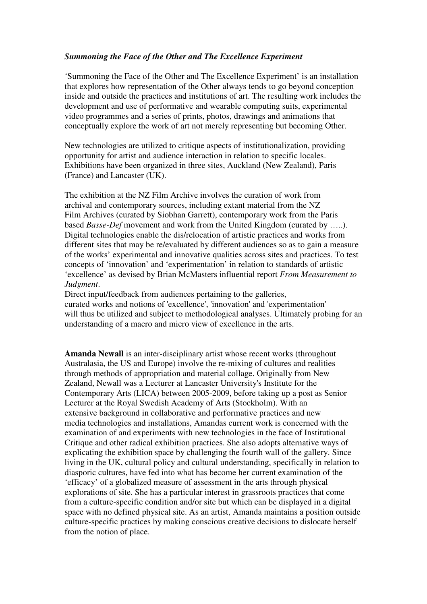## *Summoning the Face of the Other and The Excellence Experiment*

'Summoning the Face of the Other and The Excellence Experiment' is an installation that explores how representation of the Other always tends to go beyond conception inside and outside the practices and institutions of art. The resulting work includes the development and use of performative and wearable computing suits, experimental video programmes and a series of prints, photos, drawings and animations that conceptually explore the work of art not merely representing but becoming Other.

New technologies are utilized to critique aspects of institutionalization, providing opportunity for artist and audience interaction in relation to specific locales. Exhibitions have been organized in three sites, Auckland (New Zealand), Paris (France) and Lancaster (UK).

The exhibition at the NZ Film Archive involves the curation of work from archival and contemporary sources, including extant material from the NZ Film Archives (curated by Siobhan Garrett), contemporary work from the Paris based *Basse-Def* movement and work from the United Kingdom (curated by …..). Digital technologies enable the dis/relocation of artistic practices and works from different sites that may be re/evaluated by different audiences so as to gain a measure of the works' experimental and innovative qualities across sites and practices. To test concepts of 'innovation' and 'experimentation' in relation to standards of artistic 'excellence' as devised by Brian McMasters influential report *From Measurement to Judgment*.

Direct input/feedback from audiences pertaining to the galleries, curated works and notions of 'excellence', 'innovation' and 'experimentation' will thus be utilized and subject to methodological analyses. Ultimately probing for an understanding of a macro and micro view of excellence in the arts.

**Amanda Newall** is an inter-disciplinary artist whose recent works (throughout Australasia, the US and Europe) involve the re-mixing of cultures and realities through methods of appropriation and material collage. Originally from New Zealand, Newall was a Lecturer at Lancaster University's Institute for the Contemporary Arts (LICA) between 2005-2009, before taking up a post as Senior Lecturer at the Royal Swedish Academy of Arts (Stockholm). With an extensive background in collaborative and performative practices and new media technologies and installations, Amandas current work is concerned with the examination of and experiments with new technologies in the face of Institutional Critique and other radical exhibition practices. She also adopts alternative ways of explicating the exhibition space by challenging the fourth wall of the gallery. Since living in the UK, cultural policy and cultural understanding, specifically in relation to diasporic cultures, have fed into what has become her current examination of the 'efficacy' of a globalized measure of assessment in the arts through physical explorations of site. She has a particular interest in grassroots practices that come from a culture-specific condition and/or site but which can be displayed in a digital space with no defined physical site. As an artist, Amanda maintains a position outside culture-specific practices by making conscious creative decisions to dislocate herself from the notion of place.